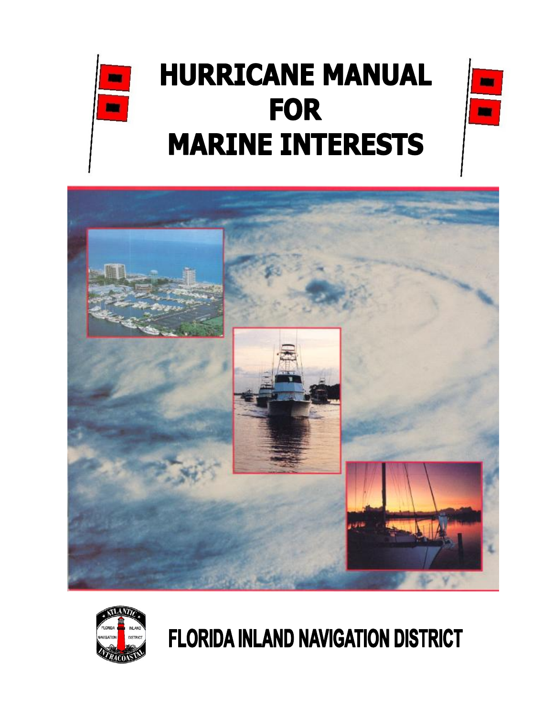

m

m





# **FLORIDA INLAND NAVIGATION DISTRICT**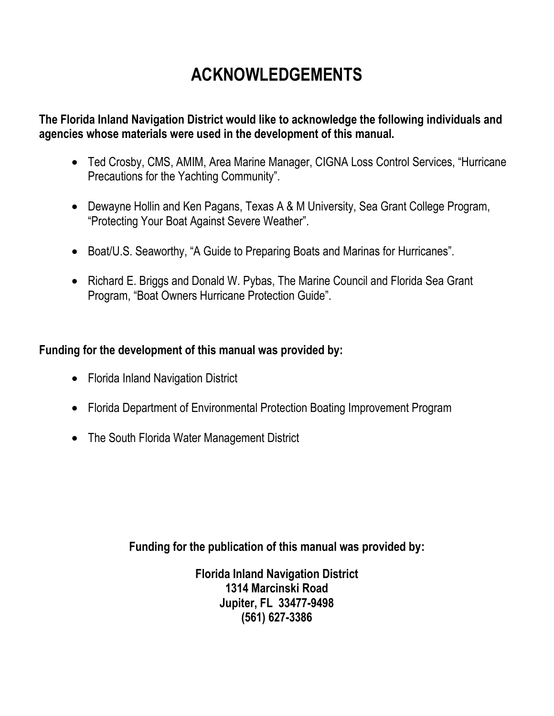## **ACKNOWLEDGEMENTS**

**The Florida Inland Navigation District would like to acknowledge the following individuals and agencies whose materials were used in the development of this manual.**

- Ted Crosby, CMS, AMIM, Area Marine Manager, CIGNA Loss Control Services, "Hurricane Precautions for the Yachting Community".
- Dewayne Hollin and Ken Pagans, Texas A & M University, Sea Grant College Program, "Protecting Your Boat Against Severe Weather".
- Boat/U.S. Seaworthy, "A Guide to Preparing Boats and Marinas for Hurricanes".
- Richard E. Briggs and Donald W. Pybas, The Marine Council and Florida Sea Grant Program, "Boat Owners Hurricane Protection Guide".

### **Funding for the development of this manual was provided by:**

- Florida Inland Navigation District
- Florida Department of Environmental Protection Boating Improvement Program
- The South Florida Water Management District

**Funding for the publication of this manual was provided by:**

**Florida Inland Navigation District 1314 Marcinski Road Jupiter, FL 33477-9498 (561) 627-3386**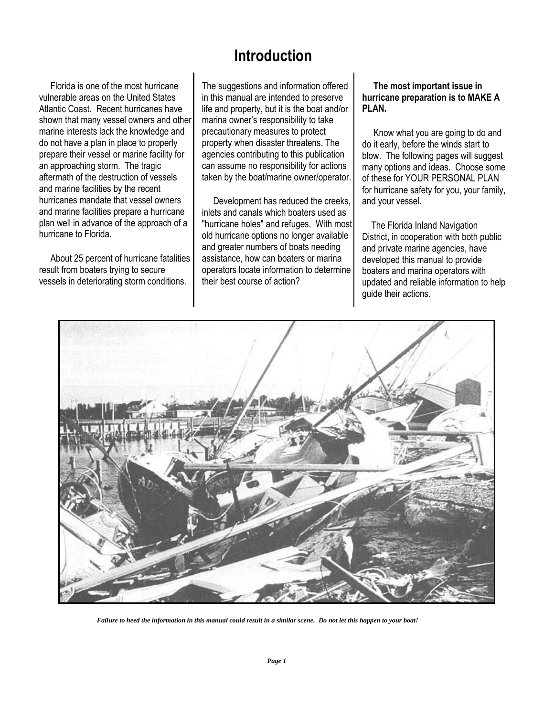## **Introduction**

 Florida is one of the most hurricane vulnerable areas on the United States Atlantic Coast. Recent hurricanes have shown that many vessel owners and other marine interests lack the knowledge and do not have a plan in place to properly prepare their vessel or marine facility for an approaching storm. The tragic aftermath of the destruction of vessels and marine facilities by the recent hurricanes mandate that vessel owners and marine facilities prepare a hurricane plan well in advance of the approach of a hurricane to Florida.

 About 25 percent of hurricane fatalities result from boaters trying to secure vessels in deteriorating storm conditions.

The suggestions and information offered in this manual are intended to preserve life and property, but it is the boat and/or marina owner's responsibility to take precautionary measures to protect property when disaster threatens. The agencies contributing to this publication can assume no responsibility for actions taken by the boat/marine owner/operator.

 Development has reduced the creeks, inlets and canals which boaters used as "hurricane holes" and refuges. With most old hurricane options no longer available and greater numbers of boats needing assistance, how can boaters or marina operators locate information to determine their best course of action?

#### **The most important issue in hurricane preparation is to MAKE A PLAN.**

 Know what you are going to do and do it early, before the winds start to blow. The following pages will suggest many options and ideas. Choose some of these for YOUR PERSONAL PLAN for hurricane safety for you, your family, and your vessel.

 The Florida Inland Navigation District, in cooperation with both public and private marine agencies, have developed this manual to provide boaters and marina operators with updated and reliable information to help guide their actions.



 *Failure to heed the information in this manual could result in a similar scene. Do not let this happen to your boat!*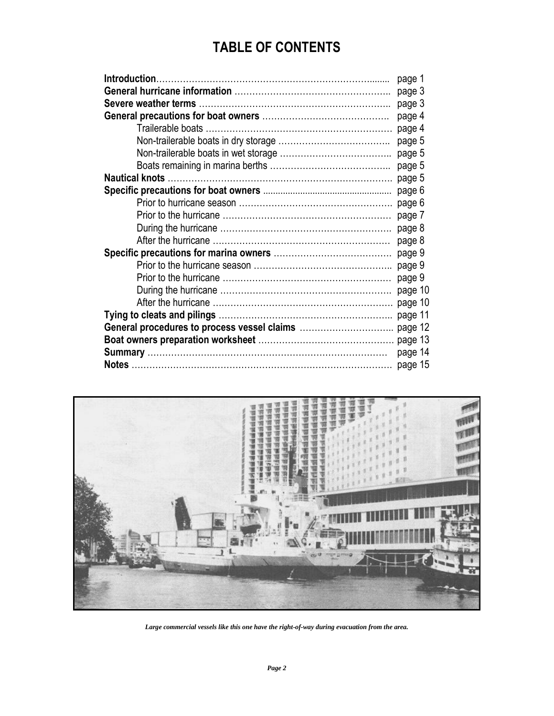## **TABLE OF CONTENTS**

| page 1  |
|---------|
| page 3  |
| page 3  |
| page 4  |
| page 4  |
| page 5  |
| page 5  |
| page 5  |
| page 5  |
| page 6  |
| page 6  |
| page 7  |
| page 8  |
| page 8  |
| page 9  |
| page 9  |
| page 9  |
| page 10 |
| page 10 |
| page 11 |
| page 12 |
|         |
| page 14 |
| page 15 |



*Large commercial vessels like this one have the right-of-way during evacuation from the area.*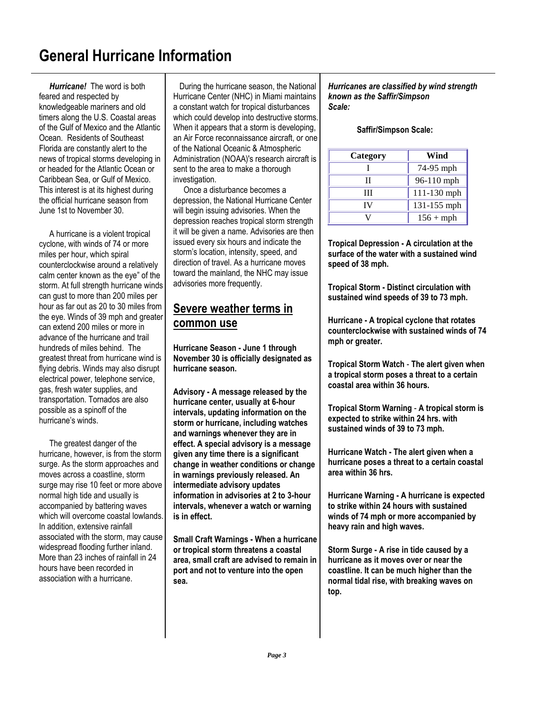## **General Hurricane Information**

 *Hurricane!* The word is both feared and respected by knowledgeable mariners and old timers along the U.S. Coastal areas of the Gulf of Mexico and the Atlantic Ocean. Residents of Southeast Florida are constantly alert to the news of tropical storms developing in or headed for the Atlantic Ocean or Caribbean Sea, or Gulf of Mexico. This interest is at its highest during the official hurricane season from June 1st to November 30.

 A hurricane is a violent tropical cyclone, with winds of 74 or more miles per hour, which spiral counterclockwise around a relatively calm center known as the eye" of the storm. At full strength hurricane winds can gust to more than 200 miles per hour as far out as 20 to 30 miles from the eye. Winds of 39 mph and greater can extend 200 miles or more in advance of the hurricane and trail hundreds of miles behind. The greatest threat from hurricane wind is flying debris. Winds may also disrupt electrical power, telephone service, gas, fresh water supplies, and transportation. Tornados are also possible as a spinoff of the hurricane's winds.

 The greatest danger of the hurricane, however, is from the storm surge. As the storm approaches and moves across a coastline, storm surge may rise 10 feet or more above normal high tide and usually is accompanied by battering waves which will overcome coastal lowlands. In addition, extensive rainfall associated with the storm, may cause widespread flooding further inland. More than 23 inches of rainfall in 24 hours have been recorded in association with a hurricane.

 During the hurricane season, the National Hurricane Center (NHC) in Miami maintains a constant watch for tropical disturbances which could develop into destructive storms. When it appears that a storm is developing, an Air Force reconnaissance aircraft, or one of the National Oceanic & Atmospheric Administration (NOAA)'s research aircraft is sent to the area to make a thorough investigation.

 Once a disturbance becomes a depression, the National Hurricane Center will begin issuing advisories. When the depression reaches tropical storm strength it will be given a name. Advisories are then issued every six hours and indicate the storm's location, intensity, speed, and direction of travel. As a hurricane moves toward the mainland, the NHC may issue advisories more frequently.

#### **Severe weather terms in common use**

**Hurricane Season - June 1 through November 30 is officially designated as hurricane season.**

**Advisory - A message released by the hurricane center, usually at 6-hour intervals, updating information on the storm or hurricane, including watches and warnings whenever they are in effect. A special advisory is a message given any time there is a significant change in weather conditions or change in warnings previously released. An intermediate advisory updates information in advisories at 2 to 3-hour intervals, whenever a watch or warning is in effect.**

**Small Craft Warnings - When a hurricane or tropical storm threatens a coastal area, small craft are advised to remain in port and not to venture into the open sea.**

*Hurricanes are classified by wind strength known as the Saffir/Simpson Scale:*

#### **Saffir/Simpson Scale:**

| Category | Wind            |
|----------|-----------------|
|          | 74-95 mph       |
|          | $96-110$ mph    |
| Ш        | 111-130 mph     |
| IV       | $131 - 155$ mph |
|          | $156 + mph$     |

**Tropical Depression - A circulation at the surface of the water with a sustained wind speed of 38 mph.**

**Tropical Storm - Distinct circulation with sustained wind speeds of 39 to 73 mph.** 

**Hurricane - A tropical cyclone that rotates counterclockwise with sustained winds of 74 mph or greater.**

**Tropical Storm Watch** - **The alert given when a tropical storm poses a threat to a certain coastal area within 36 hours.**

**Tropical Storm Warning** - **A tropical storm is expected to strike within 24 hrs. with sustained winds of 39 to 73 mph.**

**Hurricane Watch - The alert given when a hurricane poses a threat to a certain coastal area within 36 hrs.**

**Hurricane Warning - A hurricane is expected to strike within 24 hours with sustained winds of 74 mph or more accompanied by heavy rain and high waves.**

**Storm Surge - A rise in tide caused by a hurricane as it moves over or near the coastline. It can be much higher than the normal tidal rise, with breaking waves on top.**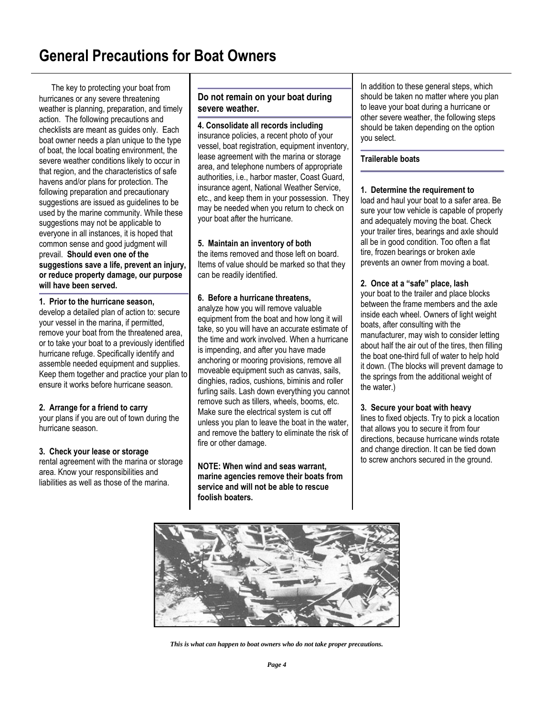## **General Precautions for Boat Owners**

 The key to protecting your boat from hurricanes or any severe threatening weather is planning, preparation, and timely action. The following precautions and checklists are meant as guides only. Each boat owner needs a plan unique to the type of boat, the local boating environment, the severe weather conditions likely to occur in that region, and the characteristics of safe havens and/or plans for protection. The following preparation and precautionary suggestions are issued as guidelines to be used by the marine community. While these suggestions may not be applicable to everyone in all instances, it is hoped that common sense and good judgment will prevail. **Should even one of the suggestions save a life, prevent an injury, or reduce property damage, our purpose will have been served.** 

#### **1. Prior to the hurricane season,**

develop a detailed plan of action to: secure your vessel in the marina, if permitted, remove your boat from the threatened area, or to take your boat to a previously identified hurricane refuge. Specifically identify and assemble needed equipment and supplies. Keep them together and practice your plan to ensure it works before hurricane season.

#### **2. Arrange for a friend to carry**

your plans if you are out of town during the hurricane season.

#### **3. Check your lease or storage**

rental agreement with the marina or storage area. Know your responsibilities and liabilities as well as those of the marina.

#### **Do not remain on your boat during severe weather.**

**4. Consolidate all records including** insurance policies, a recent photo of your vessel, boat registration, equipment inventory, lease agreement with the marina or storage area, and telephone numbers of appropriate authorities, i.e., harbor master, Coast Guard, insurance agent, National Weather Service, etc., and keep them in your possession. They may be needed when you return to check on your boat after the hurricane.

#### **5. Maintain an inventory of both**

the items removed and those left on board. Items of value should be marked so that they can be readily identified.

#### **6. Before a hurricane threatens,**

analyze how you will remove valuable equipment from the boat and how long it will take, so you will have an accurate estimate of the time and work involved. When a hurricane is impending, and after you have made anchoring or mooring provisions, remove all moveable equipment such as canvas, sails, dinghies, radios, cushions, biminis and roller furling sails. Lash down everything you cannot remove such as tillers, wheels, booms, etc. Make sure the electrical system is cut off unless you plan to leave the boat in the water, and remove the battery to eliminate the risk of fire or other damage.

**NOTE: When wind and seas warrant, marine agencies remove their boats from service and will not be able to rescue foolish boaters.** 

In addition to these general steps, which should be taken no matter where you plan to leave your boat during a hurricane or other severe weather, the following steps should be taken depending on the option you select.

#### **Trailerable boats**

#### **1. Determine the requirement to**

load and haul your boat to a safer area. Be sure your tow vehicle is capable of properly and adequately moving the boat. Check your trailer tires, bearings and axle should all be in good condition. Too often a flat tire, frozen bearings or broken axle prevents an owner from moving a boat.

#### **2. Once at a "safe" place, lash**

your boat to the trailer and place blocks between the frame members and the axle inside each wheel. Owners of light weight boats, after consulting with the manufacturer, may wish to consider letting about half the air out of the tires, then filling the boat one-third full of water to help hold it down. (The blocks will prevent damage to the springs from the additional weight of the water.)

#### **3. Secure your boat with heavy**

lines to fixed objects. Try to pick a location that allows you to secure it from four directions, because hurricane winds rotate and change direction. It can be tied down to screw anchors secured in the ground.



*This is what can happen to boat owners who do not take proper precautions.*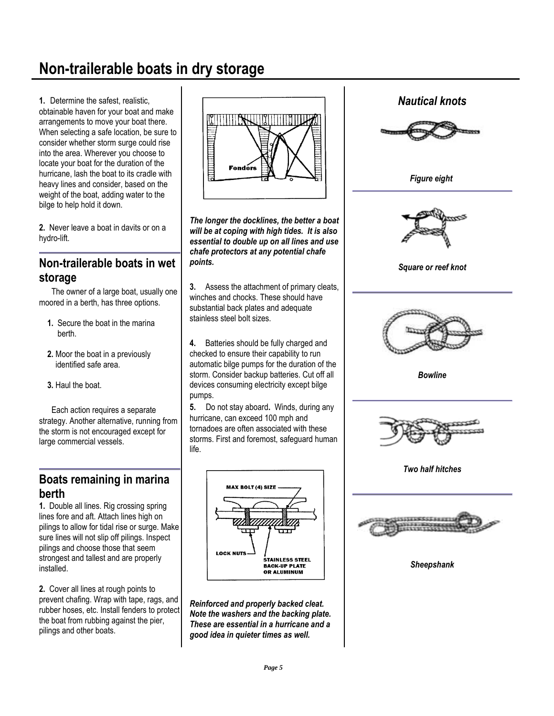## **Non-trailerable boats in dry storage**

**1.** Determine the safest, realistic, obtainable haven for your boat and make arrangements to move your boat there. When selecting a safe location, be sure to consider whether storm surge could rise into the area. Wherever you choose to locate your boat for the duration of the hurricane, lash the boat to its cradle with heavy lines and consider, based on the weight of the boat, adding water to the bilge to help hold it down.

**2.** Never leave a boat in davits or on a hydro-lift.

### **Non-trailerable boats in wet storage**

 The owner of a large boat, usually one moored in a berth, has three options.

- **1.** Secure the boat in the marina berth.
- **2.** Moor the boat in a previously identified safe area.
- **3.** Haul the boat.

 Each action requires a separate strategy. Another alternative, running from the storm is not encouraged except for large commercial vessels.

### **Boats remaining in marina berth**

**1.** Double all lines. Rig crossing spring lines fore and aft. Attach lines high on pilings to allow for tidal rise or surge. Make sure lines will not slip off pilings. Inspect pilings and choose those that seem strongest and tallest and are properly installed.

**2.** Cover all lines at rough points to prevent chafing. Wrap with tape, rags, and rubber hoses, etc. Install fenders to protect the boat from rubbing against the pier, pilings and other boats.



*The longer the docklines, the better a boat will be at coping with high tides. It is also essential to double up on all lines and use chafe protectors at any potential chafe points.*

**3.** Assess the attachment of primary cleats, winches and chocks. These should have substantial back plates and adequate stainless steel bolt sizes.

**4.** Batteries should be fully charged and checked to ensure their capability to run automatic bilge pumps for the duration of the storm. Consider backup batteries. Cut off all devices consuming electricity except bilge pumps.

**5.** Do not stay aboard**.** Winds, during any hurricane, can exceed 100 mph and tornadoes are often associated with these storms. First and foremost, safeguard human life.



*Reinforced and properly backed cleat. Note the washers and the backing plate. These are essential in a hurricane and a good idea in quieter times as well.* 

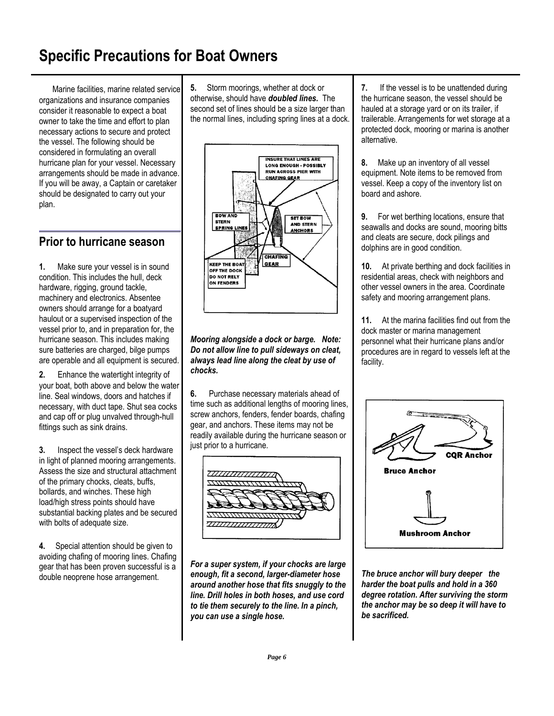## **Specific Precautions for Boat Owners**

 Marine facilities, marine related service organizations and insurance companies consider it reasonable to expect a boat owner to take the time and effort to plan necessary actions to secure and protect the vessel. The following should be considered in formulating an overall hurricane plan for your vessel. Necessary arrangements should be made in advance. If you will be away, a Captain or caretaker should be designated to carry out your plan.

### **Prior to hurricane season**

**1.** Make sure your vessel is in sound condition. This includes the hull, deck hardware, rigging, ground tackle, machinery and electronics. Absentee owners should arrange for a boatyard haulout or a supervised inspection of the vessel prior to, and in preparation for, the hurricane season. This includes making sure batteries are charged, bilge pumps are operable and all equipment is secured.

**2.** Enhance the watertight integrity of your boat, both above and below the water line. Seal windows, doors and hatches if necessary, with duct tape. Shut sea cocks and cap off or plug unvalved through-hull fittings such as sink drains.

**3.** Inspect the vessel's deck hardware in light of planned mooring arrangements. Assess the size and structural attachment of the primary chocks, cleats, buffs, bollards, and winches. These high load/high stress points should have substantial backing plates and be secured with bolts of adequate size.

**4.** Special attention should be given to avoiding chafing of mooring lines. Chafing gear that has been proven successful is a double neoprene hose arrangement.

**5.** Storm moorings, whether at dock or otherwise, should have *doubled lines.* The second set of lines should be a size larger than the normal lines, including spring lines at a dock.



*Mooring alongside a dock or barge. Note: Do not allow line to pull sideways on cleat, always lead line along the cleat by use of chocks.* 

**6.** Purchase necessary materials ahead of time such as additional lengths of mooring lines, screw anchors, fenders, fender boards, chafing gear, and anchors. These items may not be readily available during the hurricane season or just prior to a hurricane.



*For a super system, if your chocks are large enough, fit a second, larger-diameter hose around another hose that fits snuggly to the line. Drill holes in both hoses, and use cord to tie them securely to the line. In a pinch, you can use a single hose.* 

**7.** If the vessel is to be unattended during the hurricane season, the vessel should be hauled at a storage yard or on its trailer, if trailerable. Arrangements for wet storage at a protected dock, mooring or marina is another alternative.

**8.** Make up an inventory of all vessel equipment. Note items to be removed from vessel. Keep a copy of the inventory list on board and ashore.

**9.** For wet berthing locations, ensure that seawalls and docks are sound, mooring bitts and cleats are secure, dock pilings and dolphins are in good condition.

**10.** At private berthing and dock facilities in residential areas, check with neighbors and other vessel owners in the area. Coordinate safety and mooring arrangement plans.

**11.** At the marina facilities find out from the dock master or marina management personnel what their hurricane plans and/or procedures are in regard to vessels left at the facility.



*The bruce anchor will bury deeper the harder the boat pulls and hold in a 360 degree rotation. After surviving the storm the anchor may be so deep it will have to be sacrificed.*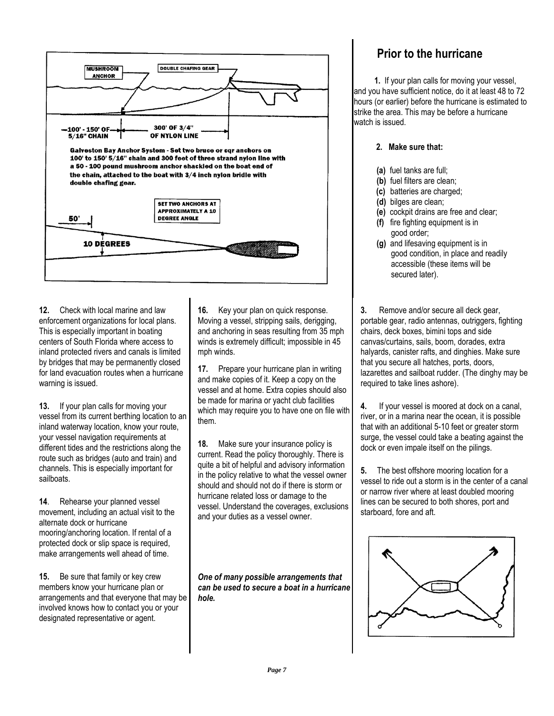

**12.** Check with local marine and law enforcement organizations for local plans. This is especially important in boating centers of South Florida where access to inland protected rivers and canals is limited by bridges that may be permanently closed for land evacuation routes when a hurricane warning is issued.

**13.** If your plan calls for moving your vessel from its current berthing location to an inland waterway location, know your route, your vessel navigation requirements at different tides and the restrictions along the route such as bridges (auto and train) and channels. This is especially important for sailboats.

**14**. Rehearse your planned vessel movement, including an actual visit to the alternate dock or hurricane mooring/anchoring location. If rental of a protected dock or slip space is required, make arrangements well ahead of time.

**15.** Be sure that family or key crew members know your hurricane plan or arrangements and that everyone that may be involved knows how to contact you or your designated representative or agent.

**16.** Key your plan on quick response. Moving a vessel, stripping sails, derigging, and anchoring in seas resulting from 35 mph winds is extremely difficult; impossible in 45 mph winds.

**17.** Prepare your hurricane plan in writing and make copies of it. Keep a copy on the vessel and at home. Extra copies should also be made for marina or yacht club facilities which may require you to have one on file with them.

**18.** Make sure your insurance policy is current. Read the policy thoroughly. There is quite a bit of helpful and advisory information in the policy relative to what the vessel owner should and should not do if there is storm or hurricane related loss or damage to the vessel. Understand the coverages, exclusions and your duties as a vessel owner.

*One of many possible arrangements that can be used to secure a boat in a hurricane hole.*

### **Prior to the hurricane**

 **1.** If your plan calls for moving your vessel, and you have sufficient notice, do it at least 48 to 72 hours (or earlier) before the hurricane is estimated to strike the area. This may be before a hurricane watch is issued.

#### **2. Make sure that:**

- **(a)** fuel tanks are full;
- **(b)** fuel filters are clean;
- **(c)** batteries are charged;
- **(d)** bilges are clean;
- **(e)** cockpit drains are free and clear;
- **(f)** fire fighting equipment is in good order;
- **(g)** and lifesaving equipment is in good condition, in place and readily accessible (these items will be secured later).

**3.** Remove and/or secure all deck gear. portable gear, radio antennas, outriggers, fighting chairs, deck boxes, bimini tops and side canvas/curtains, sails, boom, dorades, extra halyards, canister rafts, and dinghies. Make sure that you secure all hatches, ports, doors, lazarettes and sailboat rudder. (The dinghy may be required to take lines ashore).

**4.** If your vessel is moored at dock on a canal, river, or in a marina near the ocean, it is possible that with an additional 5-10 feet or greater storm surge, the vessel could take a beating against the dock or even impale itself on the pilings.

**5.** The best offshore mooring location for a vessel to ride out a storm is in the center of a canal or narrow river where at least doubled mooring lines can be secured to both shores, port and starboard, fore and aft.

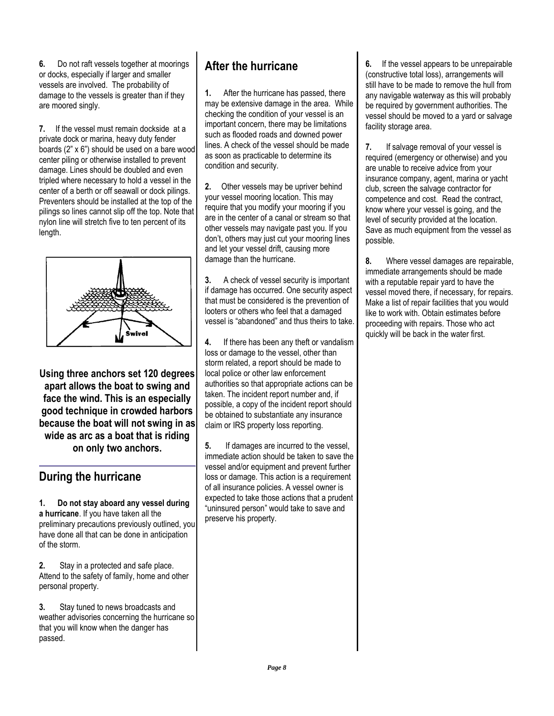**6.** Do not raft vessels together at moorings or docks, especially if larger and smaller vessels are involved. The probability of damage to the vessels is greater than if they are moored singly.

**7.** If the vessel must remain dockside at a private dock or marina, heavy duty fender boards (2" x 6") should be used on a bare wood center piling or otherwise installed to prevent damage. Lines should be doubled and even tripled where necessary to hold a vessel in the center of a berth or off seawall or dock pilings. Preventers should be installed at the top of the pilings so lines cannot slip off the top. Note that nylon line will stretch five to ten percent of its length.



**Using three anchors set 120 degrees apart allows the boat to swing and face the wind. This is an especially good technique in crowded harbors because the boat will not swing in as wide as arc as a boat that is riding on only two anchors.**

### **During the hurricane**

**1. Do not stay aboard any vessel during a hurricane**. If you have taken all the preliminary precautions previously outlined, you have done all that can be done in anticipation of the storm.

**2.** Stay in a protected and safe place. Attend to the safety of family, home and other personal property.

**3.** Stay tuned to news broadcasts and weather advisories concerning the hurricane so that you will know when the danger has passed.

### **After the hurricane**

**1.** After the hurricane has passed, there may be extensive damage in the area. While checking the condition of your vessel is an important concern, there may be limitations such as flooded roads and downed power lines. A check of the vessel should be made as soon as practicable to determine its condition and security.

**2.** Other vessels may be upriver behind your vessel mooring location. This may require that you modify your mooring if you are in the center of a canal or stream so that other vessels may navigate past you. If you don't, others may just cut your mooring lines and let your vessel drift, causing more damage than the hurricane.

**3.** A check of vessel security is important if damage has occurred. One security aspect that must be considered is the prevention of looters or others who feel that a damaged vessel is "abandoned" and thus theirs to take.

**4.** If there has been any theft or vandalism loss or damage to the vessel, other than storm related, a report should be made to local police or other law enforcement authorities so that appropriate actions can be taken. The incident report number and, if possible, a copy of the incident report should be obtained to substantiate any insurance claim or IRS property loss reporting.

**5.** If damages are incurred to the vessel, immediate action should be taken to save the vessel and/or equipment and prevent further loss or damage. This action is a requirement of all insurance policies. A vessel owner is expected to take those actions that a prudent "uninsured person" would take to save and preserve his property.

**6.** If the vessel appears to be unrepairable (constructive total loss), arrangements will still have to be made to remove the hull from any navigable waterway as this will probably be required by government authorities. The vessel should be moved to a yard or salvage facility storage area.

**7.** If salvage removal of your vessel is required (emergency or otherwise) and you are unable to receive advice from your insurance company, agent, marina or yacht club, screen the salvage contractor for competence and cost. Read the contract, know where your vessel is going, and the level of security provided at the location. Save as much equipment from the vessel as possible.

**8.** Where vessel damages are repairable, immediate arrangements should be made with a reputable repair yard to have the vessel moved there, if necessary, for repairs. Make a list of repair facilities that you would like to work with. Obtain estimates before proceeding with repairs. Those who act quickly will be back in the water first.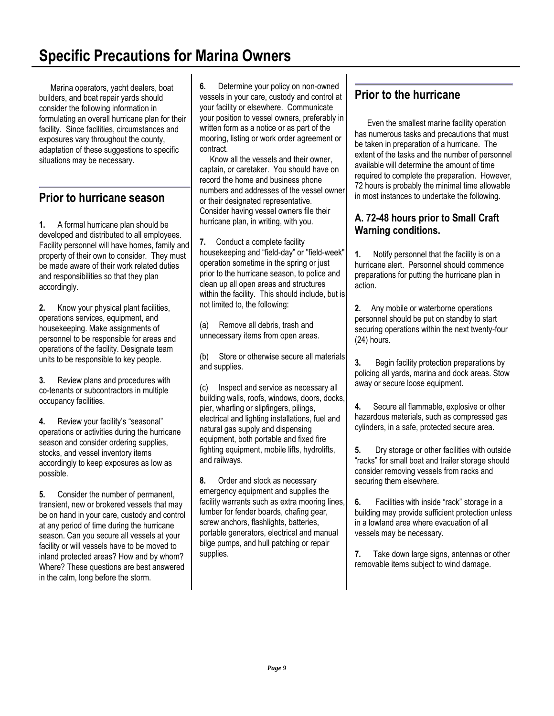## **Specific Precautions for Marina Owners**

 Marina operators, yacht dealers, boat builders, and boat repair yards should consider the following information in formulating an overall hurricane plan for their facility. Since facilities, circumstances and exposures vary throughout the county, adaptation of these suggestions to specific situations may be necessary.

### **Prior to hurricane season**

**1.** A formal hurricane plan should be developed and distributed to all employees. Facility personnel will have homes, family and property of their own to consider. They must be made aware of their work related duties and responsibilities so that they plan accordingly.

**2.** Know your physical plant facilities, operations services, equipment, and housekeeping. Make assignments of personnel to be responsible for areas and operations of the facility. Designate team units to be responsible to key people.

**3.** Review plans and procedures with co-tenants or subcontractors in multiple occupancy facilities.

**4.** Review your facility's "seasonal" operations or activities during the hurricane season and consider ordering supplies, stocks, and vessel inventory items accordingly to keep exposures as low as possible.

**5.** Consider the number of permanent, transient, new or brokered vessels that may be on hand in your care, custody and control at any period of time during the hurricane season. Can you secure all vessels at your facility or will vessels have to be moved to inland protected areas? How and by whom? Where? These questions are best answered in the calm, long before the storm.

**6.** Determine your policy on non-owned vessels in your care, custody and control at your facility or elsewhere. Communicate your position to vessel owners, preferably in written form as a notice or as part of the mooring, listing or work order agreement or contract.

 Know all the vessels and their owner, captain, or caretaker. You should have on record the home and business phone numbers and addresses of the vessel owner or their designated representative. Consider having vessel owners file their hurricane plan, in writing, with you.

**7.** Conduct a complete facility housekeeping and "field-day" or "field-week" operation sometime in the spring or just prior to the hurricane season, to police and clean up all open areas and structures within the facility. This should include, but is not limited to, the following:

(a) Remove all debris, trash and unnecessary items from open areas.

(b) Store or otherwise secure all materials and supplies.

(c) Inspect and service as necessary all building walls, roofs, windows, doors, docks, pier, wharfing or slipfingers, pilings, electrical and lighting installations, fuel and natural gas supply and dispensing equipment, both portable and fixed fire fighting equipment, mobile lifts, hydrolifts, and railways.

**8.** Order and stock as necessary emergency equipment and supplies the facility warrants such as extra mooring lines, lumber for fender boards, chafing gear, screw anchors, flashlights, batteries, portable generators, electrical and manual bilge pumps, and hull patching or repair supplies.

### **Prior to the hurricane**

 Even the smallest marine facility operation has numerous tasks and precautions that must be taken in preparation of a hurricane. The extent of the tasks and the number of personnel available will determine the amount of time required to complete the preparation. However, 72 hours is probably the minimal time allowable in most instances to undertake the following.

#### **A. 72-48 hours prior to Small Craft Warning conditions.**

**1.** Notify personnel that the facility is on a hurricane alert. Personnel should commence preparations for putting the hurricane plan in action.

**2.** Any mobile or waterborne operations personnel should be put on standby to start securing operations within the next twenty-four (24) hours.

**3.** Begin facility protection preparations by policing all yards, marina and dock areas. Stow away or secure loose equipment.

**4.** Secure all flammable, explosive or other hazardous materials, such as compressed gas cylinders, in a safe, protected secure area.

**5.** Dry storage or other facilities with outside "racks" for small boat and trailer storage should consider removing vessels from racks and securing them elsewhere.

**6.** Facilities with inside "rack" storage in a building may provide sufficient protection unless in a lowland area where evacuation of all vessels may be necessary.

**7.** Take down large signs, antennas or other removable items subject to wind damage.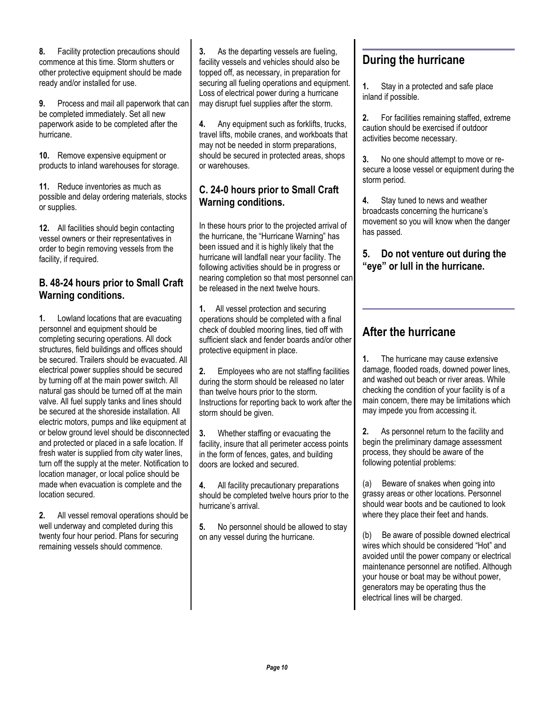**8.** Facility protection precautions should commence at this time. Storm shutters or other protective equipment should be made ready and/or installed for use.

**9.** Process and mail all paperwork that can be completed immediately. Set all new paperwork aside to be completed after the hurricane.

**10.** Remove expensive equipment or products to inland warehouses for storage.

**11.** Reduce inventories as much as possible and delay ordering materials, stocks or supplies.

**12.** All facilities should begin contacting vessel owners or their representatives in order to begin removing vessels from the facility, if required.

#### **B. 48-24 hours prior to Small Craft Warning conditions.**

**1.** Lowland locations that are evacuating personnel and equipment should be completing securing operations. All dock structures, field buildings and offices should be secured. Trailers should be evacuated. All electrical power supplies should be secured by turning off at the main power switch. All natural gas should be turned off at the main valve. All fuel supply tanks and lines should be secured at the shoreside installation. All electric motors, pumps and like equipment at or below ground level should be disconnected and protected or placed in a safe location. If fresh water is supplied from city water lines, turn off the supply at the meter. Notification to location manager, or local police should be made when evacuation is complete and the location secured.

**2.** All vessel removal operations should be well underway and completed during this twenty four hour period. Plans for securing remaining vessels should commence.

**3.** As the departing vessels are fueling, facility vessels and vehicles should also be topped off, as necessary, in preparation for securing all fueling operations and equipment. Loss of electrical power during a hurricane may disrupt fuel supplies after the storm.

**4.** Any equipment such as forklifts, trucks, travel lifts, mobile cranes, and workboats that may not be needed in storm preparations, should be secured in protected areas, shops or warehouses.

#### **C. 24-0 hours prior to Small Craft Warning conditions.**

In these hours prior to the projected arrival of the hurricane, the "Hurricane Warning" has been issued and it is highly likely that the hurricane will landfall near your facility. The following activities should be in progress or nearing completion so that most personnel can be released in the next twelve hours.

**1.** All vessel protection and securing operations should be completed with a final check of doubled mooring lines, tied off with sufficient slack and fender boards and/or other protective equipment in place.

**2.** Employees who are not staffing facilities during the storm should be released no later than twelve hours prior to the storm. Instructions for reporting back to work after the storm should be given.

**3.** Whether staffing or evacuating the facility, insure that all perimeter access points in the form of fences, gates, and building doors are locked and secured.

**4.** All facility precautionary preparations should be completed twelve hours prior to the hurricane's arrival.

**5.** No personnel should be allowed to stay on any vessel during the hurricane.

### **During the hurricane**

**1.** Stay in a protected and safe place inland if possible.

**2.** For facilities remaining staffed, extreme caution should be exercised if outdoor activities become necessary.

**3.** No one should attempt to move or resecure a loose vessel or equipment during the storm period.

**4.** Stay tuned to news and weather broadcasts concerning the hurricane's movement so you will know when the danger has passed.

#### **5. Do not venture out during the "eye" or lull in the hurricane.**

### **After the hurricane**

**1.** The hurricane may cause extensive damage, flooded roads, downed power lines, and washed out beach or river areas. While checking the condition of your facility is of a main concern, there may be limitations which may impede you from accessing it.

**2.** As personnel return to the facility and begin the preliminary damage assessment process, they should be aware of the following potential problems:

(a) Beware of snakes when going into grassy areas or other locations. Personnel should wear boots and be cautioned to look where they place their feet and hands.

(b) Be aware of possible downed electrical wires which should be considered "Hot" and avoided until the power company or electrical maintenance personnel are notified. Although your house or boat may be without power, generators may be operating thus the electrical lines will be charged.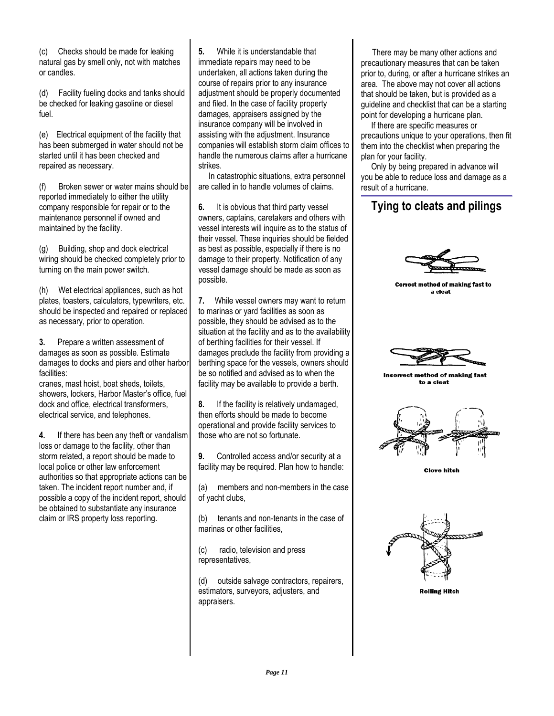(c) Checks should be made for leaking natural gas by smell only, not with matches or candles.

(d) Facility fueling docks and tanks should be checked for leaking gasoline or diesel fuel.

(e) Electrical equipment of the facility that has been submerged in water should not be started until it has been checked and repaired as necessary.

(f) Broken sewer or water mains should be reported immediately to either the utility company responsible for repair or to the maintenance personnel if owned and maintained by the facility.

(g) Building, shop and dock electrical wiring should be checked completely prior to turning on the main power switch.

(h) Wet electrical appliances, such as hot plates, toasters, calculators, typewriters, etc. should be inspected and repaired or replaced as necessary, prior to operation.

**3.** Prepare a written assessment of damages as soon as possible. Estimate damages to docks and piers and other harbor facilities:

cranes, mast hoist, boat sheds, toilets, showers, lockers, Harbor Master's office, fuel dock and office, electrical transformers, electrical service, and telephones.

**4.** If there has been any theft or vandalism loss or damage to the facility, other than storm related, a report should be made to local police or other law enforcement authorities so that appropriate actions can be taken. The incident report number and, if possible a copy of the incident report, should be obtained to substantiate any insurance claim or IRS property loss reporting.

**5.** While it is understandable that immediate repairs may need to be undertaken, all actions taken during the course of repairs prior to any insurance adjustment should be properly documented and filed. In the case of facility property damages, appraisers assigned by the insurance company will be involved in assisting with the adjustment. Insurance companies will establish storm claim offices to handle the numerous claims after a hurricane strikes.

 In catastrophic situations, extra personnel are called in to handle volumes of claims.

**6.** It is obvious that third party vessel owners, captains, caretakers and others with vessel interests will inquire as to the status of their vessel. These inquiries should be fielded as best as possible, especially if there is no damage to their property. Notification of any vessel damage should be made as soon as possible.

**7.** While vessel owners may want to return to marinas or yard facilities as soon as possible, they should be advised as to the situation at the facility and as to the availability of berthing facilities for their vessel. If damages preclude the facility from providing a berthing space for the vessels, owners should be so notified and advised as to when the facility may be available to provide a berth.

**8.** If the facility is relatively undamaged, then efforts should be made to become operational and provide facility services to those who are not so fortunate.

**9.** Controlled access and/or security at a facility may be required. Plan how to handle:

(a) members and non-members in the case of yacht clubs,

(b) tenants and non-tenants in the case of marinas or other facilities,

(c) radio, television and press representatives,

(d) outside salvage contractors, repairers, estimators, surveyors, adjusters, and appraisers.

 There may be many other actions and precautionary measures that can be taken prior to, during, or after a hurricane strikes an area. The above may not cover all actions that should be taken, but is provided as a guideline and checklist that can be a starting point for developing a hurricane plan.

 If there are specific measures or precautions unique to your operations, then fit them into the checklist when preparing the plan for your facility.

 Only by being prepared in advance will you be able to reduce loss and damage as a result of a hurricane.

### **Tying to cleats and pilings**



Correct method of making fast to a cleat



Incorrect method of making fast to a cleat



**Clove hitch** 



**Rolling Hitch**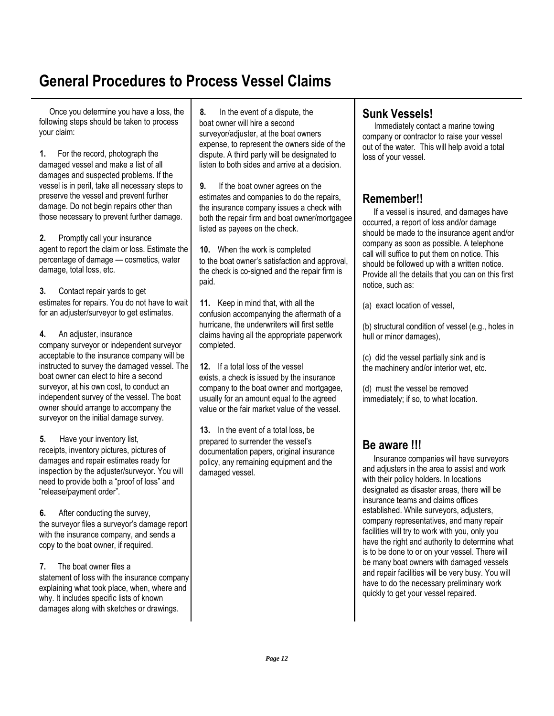## **General Procedures to Process Vessel Claims**

 Once you determine you have a loss, the following steps should be taken to process your claim:

**1.** For the record, photograph the damaged vessel and make a list of all damages and suspected problems. If the vessel is in peril, take all necessary steps to preserve the vessel and prevent further damage. Do not begin repairs other than those necessary to prevent further damage.

**2.** Promptly call your insurance agent to report the claim or loss. Estimate the percentage of damage — cosmetics, water damage, total loss, etc.

**3.** Contact repair yards to get estimates for repairs. You do not have to wait for an adjuster/surveyor to get estimates.

**4.** An adjuster, insurance company surveyor or independent surveyor acceptable to the insurance company will be instructed to survey the damaged vessel. The boat owner can elect to hire a second surveyor, at his own cost, to conduct an independent survey of the vessel. The boat owner should arrange to accompany the surveyor on the initial damage survey.

**5.** Have your inventory list, receipts, inventory pictures, pictures of damages and repair estimates ready for inspection by the adjuster/surveyor. You will need to provide both a "proof of loss" and "release/payment order".

**6.** After conducting the survey, the surveyor files a surveyor's damage report with the insurance company, and sends a copy to the boat owner, if required.

**7.** The boat owner files a statement of loss with the insurance company explaining what took place, when, where and why. It includes specific lists of known damages along with sketches or drawings.

**8.** In the event of a dispute, the boat owner will hire a second survevor/adiuster, at the boat owners expense, to represent the owners side of the dispute. A third party will be designated to listen to both sides and arrive at a decision.

**9.** If the boat owner agrees on the estimates and companies to do the repairs, the insurance company issues a check with both the repair firm and boat owner/mortgagee listed as payees on the check.

**10.** When the work is completed to the boat owner's satisfaction and approval, the check is co-signed and the repair firm is paid.

**11.** Keep in mind that, with all the confusion accompanying the aftermath of a hurricane, the underwriters will first settle claims having all the appropriate paperwork completed.

**12.** If a total loss of the vessel exists, a check is issued by the insurance company to the boat owner and mortgagee, usually for an amount equal to the agreed value or the fair market value of the vessel.

**13.** In the event of a total loss, be prepared to surrender the vessel's documentation papers, original insurance policy, any remaining equipment and the damaged vessel.

### **Sunk Vessels!**

Immediately contact a marine towing company or contractor to raise your vessel out of the water. This will help avoid a total loss of your vessel.

### **Remember!!**

 If a vessel is insured, and damages have occurred, a report of loss and/or damage should be made to the insurance agent and/or company as soon as possible. A telephone call will suffice to put them on notice. This should be followed up with a written notice. Provide all the details that you can on this first notice, such as:

(a) exact location of vessel,

(b) structural condition of vessel (e.g., holes in hull or minor damages),

(c) did the vessel partially sink and is the machinery and/or interior wet, etc.

(d) must the vessel be removed immediately; if so, to what location.

### **Be aware !!!**

 Insurance companies will have surveyors and adjusters in the area to assist and work with their policy holders. In locations designated as disaster areas, there will be insurance teams and claims offices established. While surveyors, adjusters, company representatives, and many repair facilities will try to work with you, only you have the right and authority to determine what is to be done to or on your vessel. There will be many boat owners with damaged vessels and repair facilities will be very busy. You will have to do the necessary preliminary work quickly to get your vessel repaired.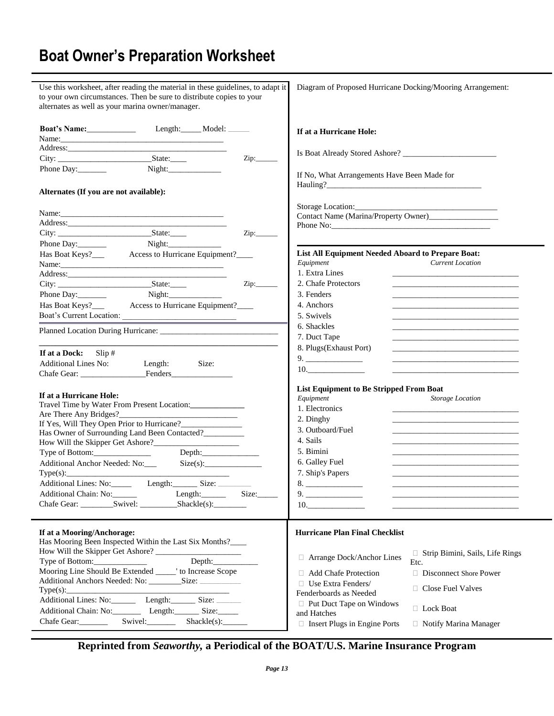## **Boat Owner's Preparation Worksheet**

| Use this worksheet, after reading the material in these guidelines, to adapt it<br>to your own circumstances. Then be sure to distribute copies to your<br>alternates as well as your marina owner/manager.                                                                                                                                                                                   |       | Diagram of Proposed Hurricane Docking/Mooring Arrangement:                                                                                                                                                                                                                                                                                                                                                                                            |
|-----------------------------------------------------------------------------------------------------------------------------------------------------------------------------------------------------------------------------------------------------------------------------------------------------------------------------------------------------------------------------------------------|-------|-------------------------------------------------------------------------------------------------------------------------------------------------------------------------------------------------------------------------------------------------------------------------------------------------------------------------------------------------------------------------------------------------------------------------------------------------------|
| <b>Boat's Name:</b> Length: Model: _____                                                                                                                                                                                                                                                                                                                                                      |       |                                                                                                                                                                                                                                                                                                                                                                                                                                                       |
|                                                                                                                                                                                                                                                                                                                                                                                               |       | If at a Hurricane Hole:                                                                                                                                                                                                                                                                                                                                                                                                                               |
|                                                                                                                                                                                                                                                                                                                                                                                               |       |                                                                                                                                                                                                                                                                                                                                                                                                                                                       |
|                                                                                                                                                                                                                                                                                                                                                                                               |       |                                                                                                                                                                                                                                                                                                                                                                                                                                                       |
|                                                                                                                                                                                                                                                                                                                                                                                               | Zip:  |                                                                                                                                                                                                                                                                                                                                                                                                                                                       |
| Phone Day:                                                                                                                                                                                                                                                                                                                                                                                    |       | If No, What Arrangements Have Been Made for                                                                                                                                                                                                                                                                                                                                                                                                           |
| Alternates (If you are not available):                                                                                                                                                                                                                                                                                                                                                        |       |                                                                                                                                                                                                                                                                                                                                                                                                                                                       |
|                                                                                                                                                                                                                                                                                                                                                                                               |       | Storage Location:                                                                                                                                                                                                                                                                                                                                                                                                                                     |
|                                                                                                                                                                                                                                                                                                                                                                                               |       |                                                                                                                                                                                                                                                                                                                                                                                                                                                       |
|                                                                                                                                                                                                                                                                                                                                                                                               |       |                                                                                                                                                                                                                                                                                                                                                                                                                                                       |
|                                                                                                                                                                                                                                                                                                                                                                                               |       |                                                                                                                                                                                                                                                                                                                                                                                                                                                       |
| Night:<br>Phone Day:                                                                                                                                                                                                                                                                                                                                                                          |       |                                                                                                                                                                                                                                                                                                                                                                                                                                                       |
|                                                                                                                                                                                                                                                                                                                                                                                               |       | List All Equipment Needed Aboard to Prepare Boat:                                                                                                                                                                                                                                                                                                                                                                                                     |
| Name: Name and the second contract of the second contract of the second contract of the second contract of the second contract of the second contract of the second contract of the second contract of the second contract of                                                                                                                                                                 |       | Equipment<br><b>Current Location</b>                                                                                                                                                                                                                                                                                                                                                                                                                  |
|                                                                                                                                                                                                                                                                                                                                                                                               |       | 1. Extra Lines                                                                                                                                                                                                                                                                                                                                                                                                                                        |
|                                                                                                                                                                                                                                                                                                                                                                                               |       | 2. Chafe Protectors                                                                                                                                                                                                                                                                                                                                                                                                                                   |
|                                                                                                                                                                                                                                                                                                                                                                                               |       | 3. Fenders                                                                                                                                                                                                                                                                                                                                                                                                                                            |
| Phone Day: Night: Night: Night: Has Boat Keys? Access to Hurricane Equipment?                                                                                                                                                                                                                                                                                                                 |       |                                                                                                                                                                                                                                                                                                                                                                                                                                                       |
|                                                                                                                                                                                                                                                                                                                                                                                               |       | 4. Anchors                                                                                                                                                                                                                                                                                                                                                                                                                                            |
| Boat's Current Location:                                                                                                                                                                                                                                                                                                                                                                      |       | 5. Swivels                                                                                                                                                                                                                                                                                                                                                                                                                                            |
|                                                                                                                                                                                                                                                                                                                                                                                               |       | 6. Shackles                                                                                                                                                                                                                                                                                                                                                                                                                                           |
|                                                                                                                                                                                                                                                                                                                                                                                               |       | 7. Duct Tape                                                                                                                                                                                                                                                                                                                                                                                                                                          |
|                                                                                                                                                                                                                                                                                                                                                                                               |       | 8. Plugs(Exhaust Port)                                                                                                                                                                                                                                                                                                                                                                                                                                |
| If at a Dock: $Slip #$                                                                                                                                                                                                                                                                                                                                                                        |       |                                                                                                                                                                                                                                                                                                                                                                                                                                                       |
| Additional Lines No:<br>Length: Size:<br>Chafe Gear: Fenders                                                                                                                                                                                                                                                                                                                                  |       | $10.$                                                                                                                                                                                                                                                                                                                                                                                                                                                 |
| If at a Hurricane Hole:<br>Travel Time by Water From Present Location:<br>If Yes, Will They Open Prior to Hurricane?<br>Has Owner of Surrounding Land Been Contacted?<br>Type of Bottom:______________<br>$Depth:\_\_\_\_\_\_\_\_\_\_\_\_\_\_$<br>Additional Anchor Needed: No:<br>Size(s):<br>Additional Lines: No: Length: Size: _<br>Additional Chain: No:<br>Length: $\frac{1}{\sqrt{2}}$ | Size: | List Equipment to Be Stripped From Boat<br>Equipment<br>Storage Location<br>1. Electronics<br>2. Dinghy<br>3. Outboard/Fuel<br>4. Sails<br>5. Bimini<br>6. Galley Fuel<br>7. Ship's Papers<br>8.<br>9.<br>10.<br><u> 1989 - Johann John Harry Harry Harry Harry Harry Harry Harry Harry Harry Harry Harry Harry Harry Harry Harry Harry Harry Harry Harry Harry Harry Harry Harry Harry Harry Harry Harry Harry Harry Harry Harry Harry Harry Har</u> |
| If at a Mooring/Anchorage:<br>Has Mooring Been Inspected Within the Last Six Months?____<br>Type of Bottom: <u>Containing</u><br>Mooring Line Should Be Extended ______' to Increase Scope<br>Type(s):<br>Additional Lines: No: Length: Size: Size:<br>Additional Chain: No: Length: Size:                                                                                                    |       | <b>Hurricane Plan Final Checklist</b><br>$\Box$ Strip Bimini, Sails, Life Rings<br>□ Arrange Dock/Anchor Lines<br>Etc.<br>□ Disconnect Shore Power<br>$\Box$ Add Chafe Protection<br>□ Use Extra Fenders/<br>$\Box$ Close Fuel Valves<br>Fenderboards as Needed<br>Put Duct Tape on Windows<br>□ Lock Boat<br>and Hatches                                                                                                                             |
|                                                                                                                                                                                                                                                                                                                                                                                               |       | □ Insert Plugs in Engine Ports<br>$\Box$ Notify Marina Manager                                                                                                                                                                                                                                                                                                                                                                                        |

**Reprinted from** *Seaworthy,* **a Periodical of the BOAT/U.S. Marine Insurance Program**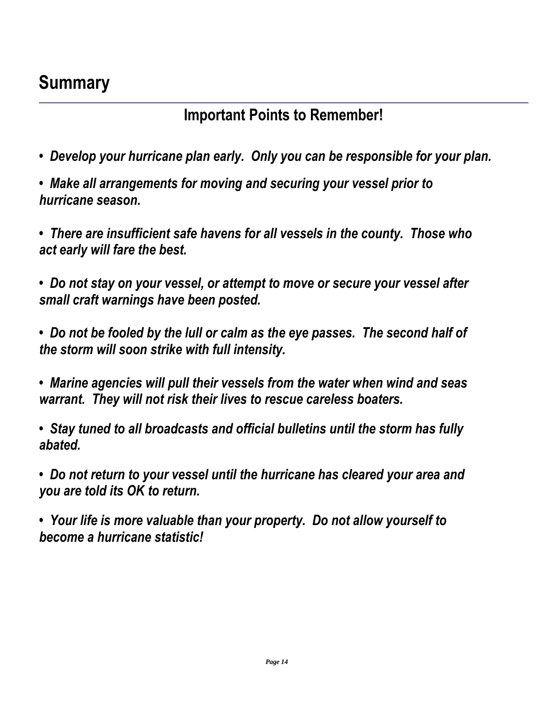## **Summary**

## **Important Points to Remember!**

- *• Develop your hurricane plan early. Only you can be responsible for your plan.*
- *• Make all arrangements for moving and securing your vessel prior to hurricane season.*
- *• There are insufficient safe havens for all vessels in the county. Those who act early will fare the best.*

*• Do not stay on your vessel, or attempt to move or secure your vessel after small craft warnings have been posted.*

*• Do not be fooled by the lull or calm as the eye passes. The second half of the storm will soon strike with full intensity.*

*• Marine agencies will pull their vessels from the water when wind and seas warrant. They will not risk their lives to rescue careless boaters.*

*• Stay tuned to all broadcasts and official bulletins until the storm has fully abated.*

*• Do not return to your vessel until the hurricane has cleared your area and you are told its OK to return.*

*• Your life is more valuable than your property. Do not allow yourself to become a hurricane statistic!*